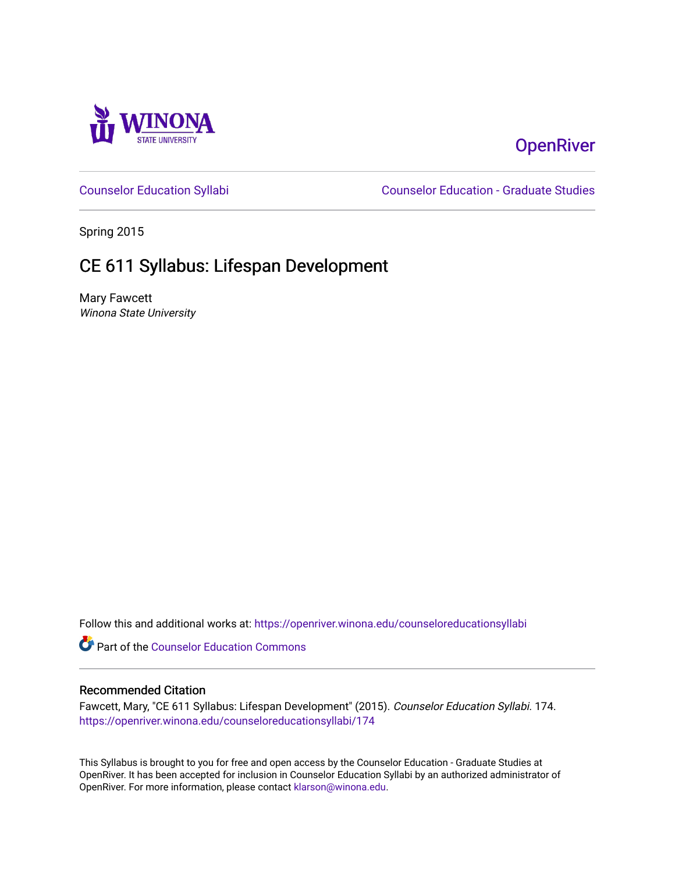

# **OpenRiver**

[Counselor Education Syllabi](https://openriver.winona.edu/counseloreducationsyllabi) [Counselor Education - Graduate Studies](https://openriver.winona.edu/counseloreducation) 

Spring 2015

# CE 611 Syllabus: Lifespan Development

Mary Fawcett Winona State University

Follow this and additional works at: [https://openriver.winona.edu/counseloreducationsyllabi](https://openriver.winona.edu/counseloreducationsyllabi?utm_source=openriver.winona.edu%2Fcounseloreducationsyllabi%2F174&utm_medium=PDF&utm_campaign=PDFCoverPages)

Part of the [Counselor Education Commons](http://network.bepress.com/hgg/discipline/1278?utm_source=openriver.winona.edu%2Fcounseloreducationsyllabi%2F174&utm_medium=PDF&utm_campaign=PDFCoverPages) 

#### Recommended Citation

Fawcett, Mary, "CE 611 Syllabus: Lifespan Development" (2015). Counselor Education Syllabi. 174. [https://openriver.winona.edu/counseloreducationsyllabi/174](https://openriver.winona.edu/counseloreducationsyllabi/174?utm_source=openriver.winona.edu%2Fcounseloreducationsyllabi%2F174&utm_medium=PDF&utm_campaign=PDFCoverPages)

This Syllabus is brought to you for free and open access by the Counselor Education - Graduate Studies at OpenRiver. It has been accepted for inclusion in Counselor Education Syllabi by an authorized administrator of OpenRiver. For more information, please contact [klarson@winona.edu](mailto:klarson@winona.edu).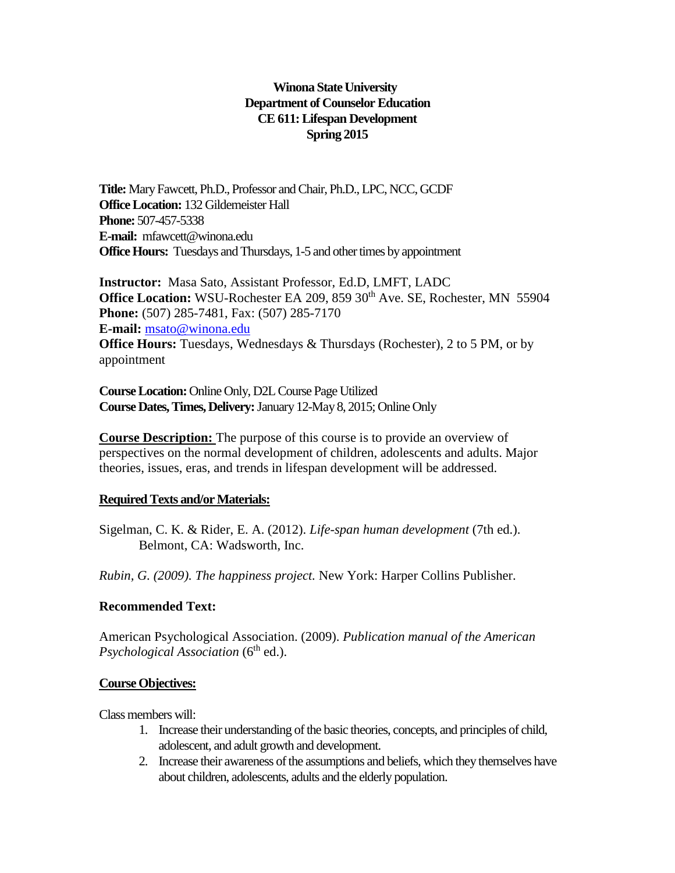## **Winona State University Department of Counselor Education CE611: Lifespan Development Spring 2015**

**Title:** Mary Fawcett, Ph.D., Professor and Chair, Ph.D., LPC, NCC, GCDF **Office Location:** 132 Gildemeister Hall **Phone:** 507-457-5338 **E-mail:** mfawcett@winona.edu **Office Hours:** Tuesdays and Thursdays, 1-5 and other times by appointment

**Instructor:** Masa Sato, Assistant Professor, Ed.D, LMFT, LADC **Office Location:** WSU-Rochester EA 209, 859 30<sup>th</sup> Ave. SE, Rochester, MN 55904 **Phone:** (507) 285-7481, Fax: (507) 285-7170 **E-mail:** [msato@winona.edu](https://email.winona.edu/owa/redir.aspx?SURL=ItHZTTs7oa9XPdgSDqkFgKj40U90stbdi87Ju2Lu50nTch9bYvnRCG0AYQBpAGwAdABvADoAbQBzAGEAdABvAEAAdwBpAG4AbwBuAGEALgBlAGQAdQA.&URL=mailto%3amsato%40winona.edu) **Office Hours:** Tuesdays, Wednesdays & Thursdays (Rochester), 2 to 5 PM, or by appointment

**Course Location:** Online Only, D2L Course Page Utilized **Course Dates, Times, Delivery:**January 12-May 8, 2015; Online Only

**Course Description:** The purpose of this course is to provide an overview of perspectives on the normal development of children, adolescents and adults. Major theories, issues, eras, and trends in lifespan development will be addressed.

#### **Required Texts and/or Materials:**

Sigelman, C. K. & Rider, E. A. (2012). *Life-span human development* (7th ed.). Belmont, CA: Wadsworth, Inc.

*Rubin, G. (2009). The happiness project.* New York: Harper Collins Publisher.

## **Recommended Text:**

American Psychological Association. (2009). *Publication manual of the American Psychological Association* (6<sup>th</sup> ed.).

#### **Course Objectives:**

Class members will:

- 1. Increase their understanding of the basic theories, concepts, and principles of child, adolescent, and adult growth and development.
- 2. Increase their awareness of the assumptions and beliefs, which they themselves have about children, adolescents, adults and the elderly population.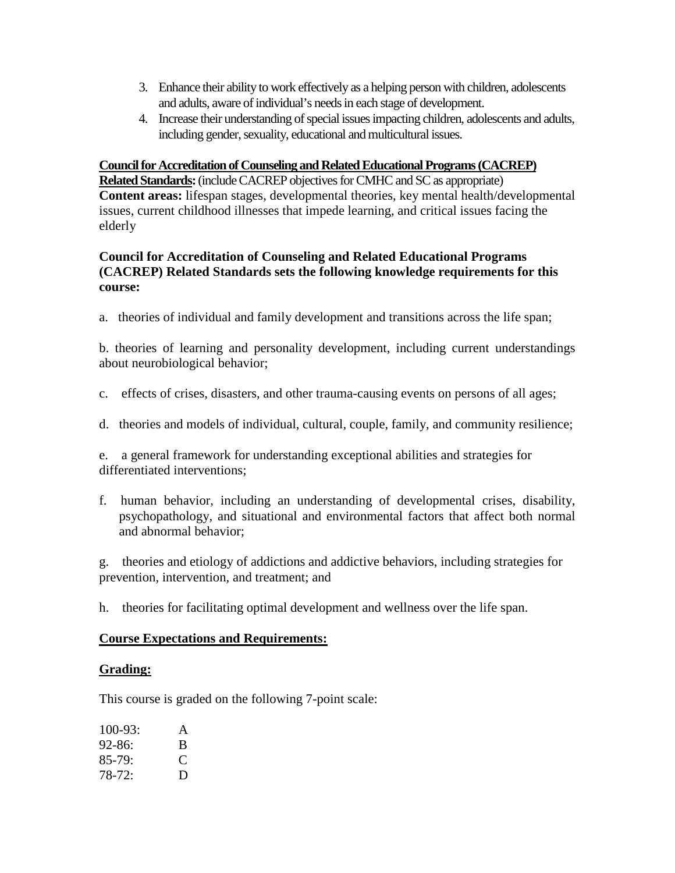- 3. Enhance their ability to work effectively as a helping person with children, adolescents and adults, aware of individual's needs in each stage of development.
- 4. Increase their understanding of special issues impacting children, adolescents and adults, including gender, sexuality, educational and multicultural issues.

#### **Council for Accreditation of Counseling and Related Educational Programs (CACREP)**

**Related Standards:**(include CACREP objectives for CMHC and SC as appropriate) **Content areas:** lifespan stages, developmental theories, key mental health/developmental issues, current childhood illnesses that impede learning, and critical issues facing the elderly

#### **Council for Accreditation of Counseling and Related Educational Programs (CACREP) Related Standards sets the following knowledge requirements for this course:**

a. theories of individual and family development and transitions across the life span;

b. theories of learning and personality development, including current understandings about neurobiological behavior;

- c. effects of crises, disasters, and other trauma-causing events on persons of all ages;
- d. theories and models of individual, cultural, couple, family, and community resilience;

e. a general framework for understanding exceptional abilities and strategies for differentiated interventions;

f. human behavior, including an understanding of developmental crises, disability, psychopathology, and situational and environmental factors that affect both normal and abnormal behavior;

g. theories and etiology of addictions and addictive behaviors, including strategies for prevention, intervention, and treatment; and

h. theories for facilitating optimal development and wellness over the life span.

#### **Course Expectations and Requirements:**

#### **Grading:**

This course is graded on the following 7-point scale:

| $100 - 93:$ | A |
|-------------|---|
| $92 - 86:$  | B |
| $85-79:$    | € |
| $78-72:$    | D |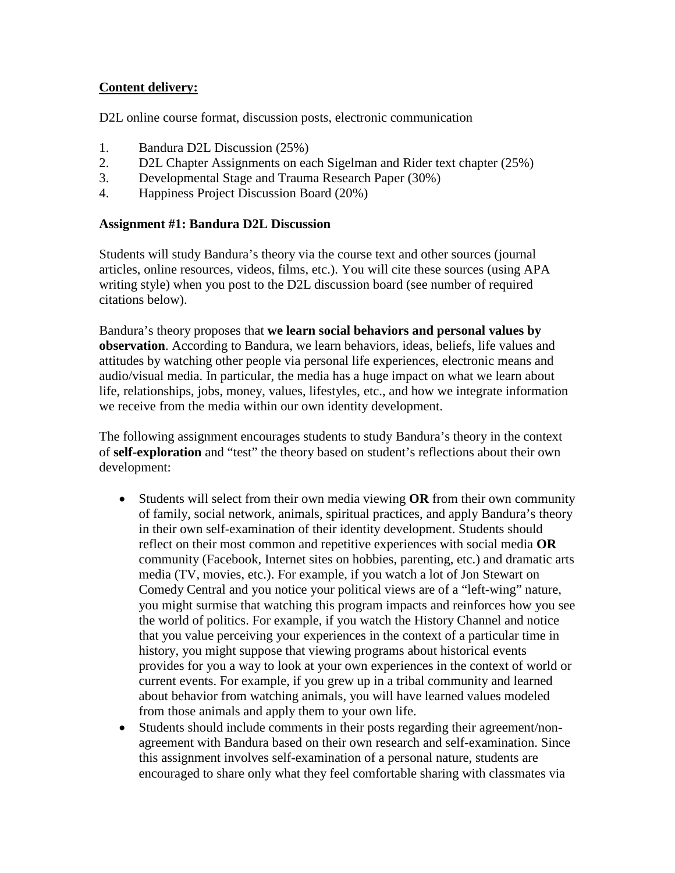## **Content delivery:**

D2L online course format, discussion posts, electronic communication

- 1. Bandura D2L Discussion (25%)
- 2. D2L Chapter Assignments on each Sigelman and Rider text chapter (25%)
- 3. Developmental Stage and Trauma Research Paper (30%)
- 4. Happiness Project Discussion Board (20%)

#### **Assignment #1: Bandura D2L Discussion**

Students will study Bandura's theory via the course text and other sources (journal articles, online resources, videos, films, etc.). You will cite these sources (using APA writing style) when you post to the D2L discussion board (see number of required citations below).

Bandura's theory proposes that **we learn social behaviors and personal values by observation**. According to Bandura, we learn behaviors, ideas, beliefs, life values and attitudes by watching other people via personal life experiences, electronic means and audio/visual media. In particular, the media has a huge impact on what we learn about life, relationships, jobs, money, values, lifestyles, etc., and how we integrate information we receive from the media within our own identity development.

The following assignment encourages students to study Bandura's theory in the context of **self-exploration** and "test" the theory based on student's reflections about their own development:

- Students will select from their own media viewing **OR** from their own community of family, social network, animals, spiritual practices, and apply Bandura's theory in their own self-examination of their identity development. Students should reflect on their most common and repetitive experiences with social media **OR**  community (Facebook, Internet sites on hobbies, parenting, etc.) and dramatic arts media (TV, movies, etc.). For example, if you watch a lot of Jon Stewart on Comedy Central and you notice your political views are of a "left-wing" nature, you might surmise that watching this program impacts and reinforces how you see the world of politics. For example, if you watch the History Channel and notice that you value perceiving your experiences in the context of a particular time in history, you might suppose that viewing programs about historical events provides for you a way to look at your own experiences in the context of world or current events. For example, if you grew up in a tribal community and learned about behavior from watching animals, you will have learned values modeled from those animals and apply them to your own life.
- Students should include comments in their posts regarding their agreement/nonagreement with Bandura based on their own research and self-examination. Since this assignment involves self-examination of a personal nature, students are encouraged to share only what they feel comfortable sharing with classmates via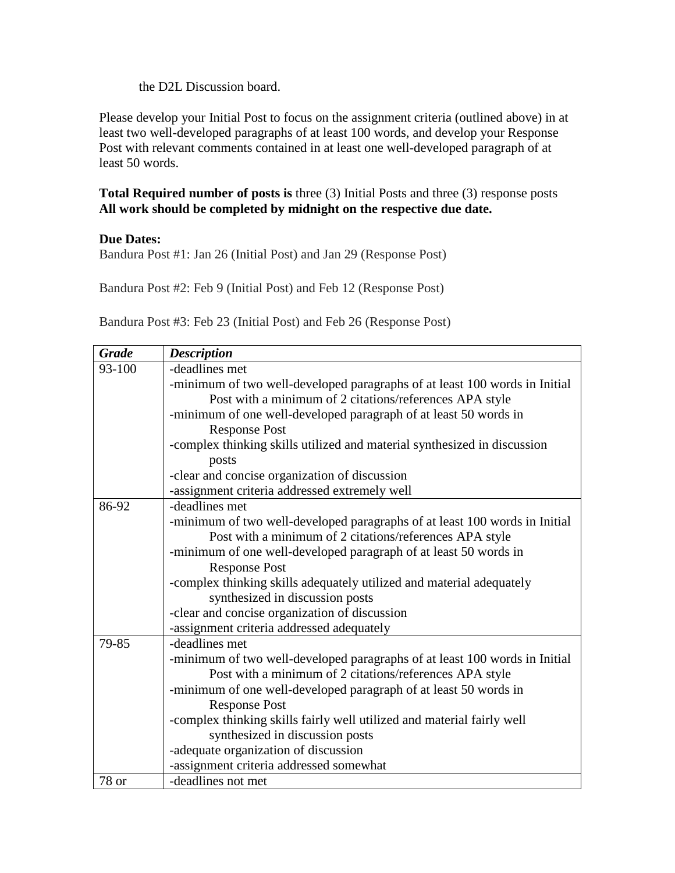the D2L Discussion board.

Please develop your Initial Post to focus on the assignment criteria (outlined above) in at least two well-developed paragraphs of at least 100 words, and develop your Response Post with relevant comments contained in at least one well-developed paragraph of at least 50 words.

## **Total Required number of posts is** three (3) Initial Posts and three (3) response posts **All work should be completed by midnight on the respective due date.**

## **Due Dates:**

Bandura Post #1: Jan 26 (Initial Post) and Jan 29 (Response Post)

Bandura Post #2: Feb 9 (Initial Post) and Feb 12 (Response Post)

Bandura Post #3: Feb 23 (Initial Post) and Feb 26 (Response Post)

| <b>Grade</b> | <b>Description</b>                                                         |
|--------------|----------------------------------------------------------------------------|
| 93-100       | -deadlines met                                                             |
|              | -minimum of two well-developed paragraphs of at least 100 words in Initial |
|              | Post with a minimum of 2 citations/references APA style                    |
|              | -minimum of one well-developed paragraph of at least 50 words in           |
|              | <b>Response Post</b>                                                       |
|              | -complex thinking skills utilized and material synthesized in discussion   |
|              | posts                                                                      |
|              | -clear and concise organization of discussion                              |
|              | -assignment criteria addressed extremely well                              |
| 86-92        | -deadlines met                                                             |
|              | -minimum of two well-developed paragraphs of at least 100 words in Initial |
|              | Post with a minimum of 2 citations/references APA style                    |
|              | -minimum of one well-developed paragraph of at least 50 words in           |
|              | <b>Response Post</b>                                                       |
|              | -complex thinking skills adequately utilized and material adequately       |
|              | synthesized in discussion posts                                            |
|              | -clear and concise organization of discussion                              |
|              | -assignment criteria addressed adequately                                  |
| 79-85        | -deadlines met                                                             |
|              | -minimum of two well-developed paragraphs of at least 100 words in Initial |
|              | Post with a minimum of 2 citations/references APA style                    |
|              | -minimum of one well-developed paragraph of at least 50 words in           |
|              | <b>Response Post</b>                                                       |
|              | -complex thinking skills fairly well utilized and material fairly well     |
|              | synthesized in discussion posts                                            |
|              | -adequate organization of discussion                                       |
|              | -assignment criteria addressed somewhat                                    |
| 78 or        | -deadlines not met                                                         |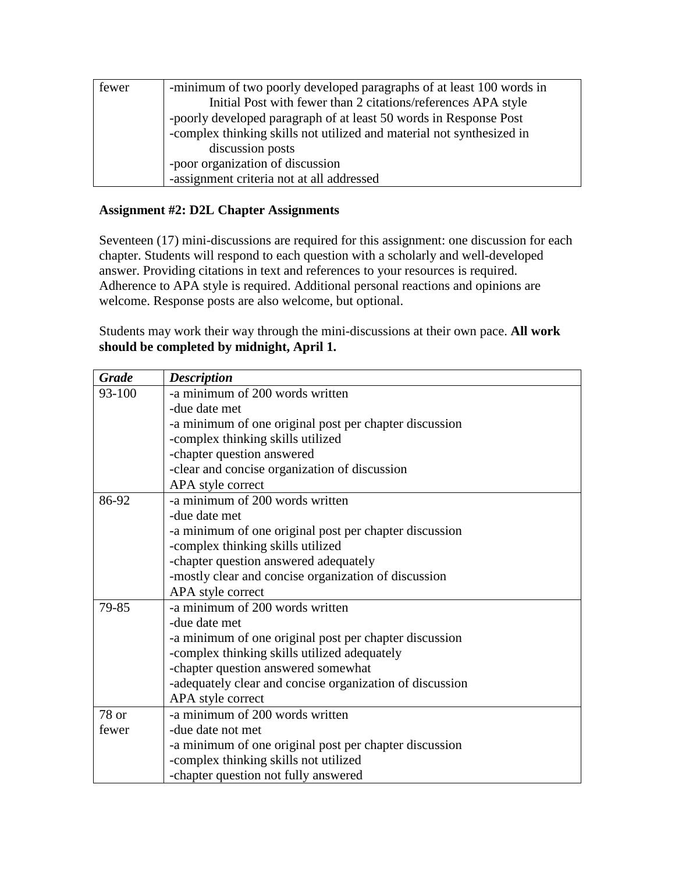| fewer | -minimum of two poorly developed paragraphs of at least 100 words in  |
|-------|-----------------------------------------------------------------------|
|       | Initial Post with fewer than 2 citations/references APA style         |
|       | -poorly developed paragraph of at least 50 words in Response Post     |
|       | -complex thinking skills not utilized and material not synthesized in |
|       | discussion posts                                                      |
|       | -poor organization of discussion                                      |
|       | -assignment criteria not at all addressed                             |

#### **Assignment #2: D2L Chapter Assignments**

Seventeen (17) mini-discussions are required for this assignment: one discussion for each chapter. Students will respond to each question with a scholarly and well-developed answer. Providing citations in text and references to your resources is required. Adherence to APA style is required. Additional personal reactions and opinions are welcome. Response posts are also welcome, but optional.

Students may work their way through the mini-discussions at their own pace. **All work should be completed by midnight, April 1.** 

| <b>Grade</b> | <b>Description</b>                                       |
|--------------|----------------------------------------------------------|
| 93-100       | -a minimum of 200 words written                          |
|              | -due date met                                            |
|              | -a minimum of one original post per chapter discussion   |
|              | -complex thinking skills utilized                        |
|              | -chapter question answered                               |
|              | -clear and concise organization of discussion            |
|              | APA style correct                                        |
| 86-92        | -a minimum of 200 words written                          |
|              | -due date met                                            |
|              | -a minimum of one original post per chapter discussion   |
|              | -complex thinking skills utilized                        |
|              | -chapter question answered adequately                    |
|              | -mostly clear and concise organization of discussion     |
|              | APA style correct                                        |
| 79-85        | -a minimum of 200 words written                          |
|              | -due date met                                            |
|              | -a minimum of one original post per chapter discussion   |
|              | -complex thinking skills utilized adequately             |
|              | -chapter question answered somewhat                      |
|              | -adequately clear and concise organization of discussion |
|              | APA style correct                                        |
| 78 or        | -a minimum of 200 words written                          |
| fewer        | -due date not met                                        |
|              | -a minimum of one original post per chapter discussion   |
|              | -complex thinking skills not utilized                    |
|              | -chapter question not fully answered                     |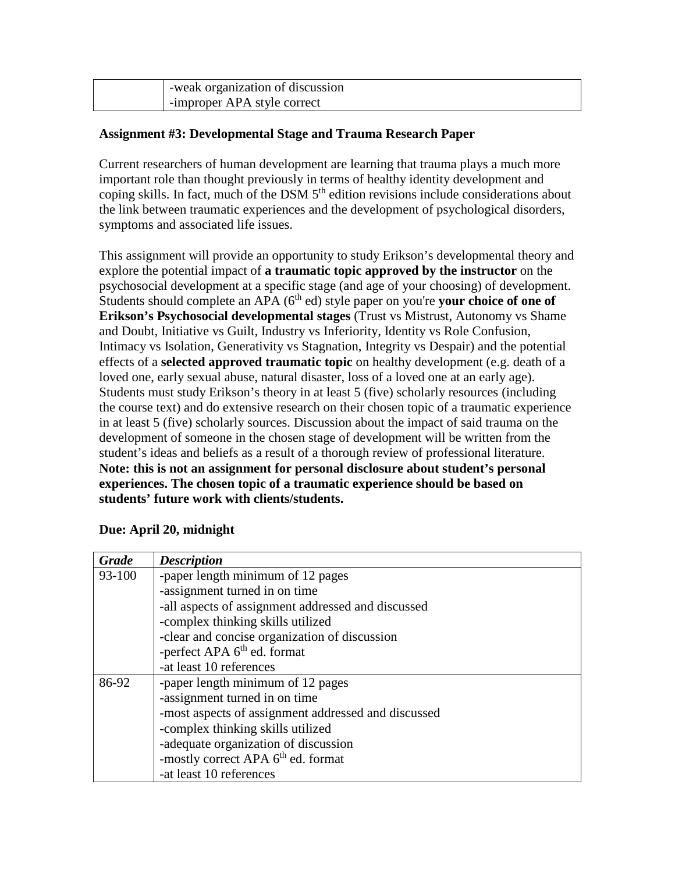| -weak organization of discussion |
|----------------------------------|
| -improper APA style correct      |

#### **Assignment #3: Developmental Stage and Trauma Research Paper**

Current researchers of human development are learning that trauma plays a much more important role than thought previously in terms of healthy identity development and coping skills. In fact, much of the DSM  $5<sup>th</sup>$  edition revisions include considerations about the link between traumatic experiences and the development of psychological disorders, symptoms and associated life issues.

This assignment will provide an opportunity to study Erikson's developmental theory and explore the potential impact of **a traumatic topic approved by the instructor** on the psychosocial development at a specific stage (and age of your choosing) of development. Students should complete an APA (6<sup>th</sup> ed) style paper on you're **your choice of one of Erikson's Psychosocial developmental stages** (Trust vs Mistrust, Autonomy vs Shame and Doubt, Initiative vs Guilt, Industry vs Inferiority, Identity vs Role Confusion, Intimacy vs Isolation, Generativity vs Stagnation, Integrity vs Despair) and the potential effects of a **selected approved traumatic topic** on healthy development (e.g. death of a loved one, early sexual abuse, natural disaster, loss of a loved one at an early age). Students must study Erikson's theory in at least 5 (five) scholarly resources (including the course text) and do extensive research on their chosen topic of a traumatic experience in at least 5 (five) scholarly sources. Discussion about the impact of said trauma on the development of someone in the chosen stage of development will be written from the student's ideas and beliefs as a result of a thorough review of professional literature. **Note: this is not an assignment for personal disclosure about student's personal experiences. The chosen topic of a traumatic experience should be based on students' future work with clients/students.**

| <b>Grade</b> | <b>Description</b>                                  |
|--------------|-----------------------------------------------------|
| 93-100       | -paper length minimum of 12 pages                   |
|              | -assignment turned in on time                       |
|              | -all aspects of assignment addressed and discussed  |
|              | -complex thinking skills utilized                   |
|              | -clear and concise organization of discussion       |
|              | -perfect APA 6 <sup>th</sup> ed. format             |
|              | -at least 10 references                             |
| 86-92        | -paper length minimum of 12 pages                   |
|              | -assignment turned in on time                       |
|              | -most aspects of assignment addressed and discussed |
|              | -complex thinking skills utilized                   |
|              | -adequate organization of discussion                |
|              | -mostly correct APA 6 <sup>th</sup> ed. format      |
|              | -at least 10 references                             |

## **Due: April 20, midnight**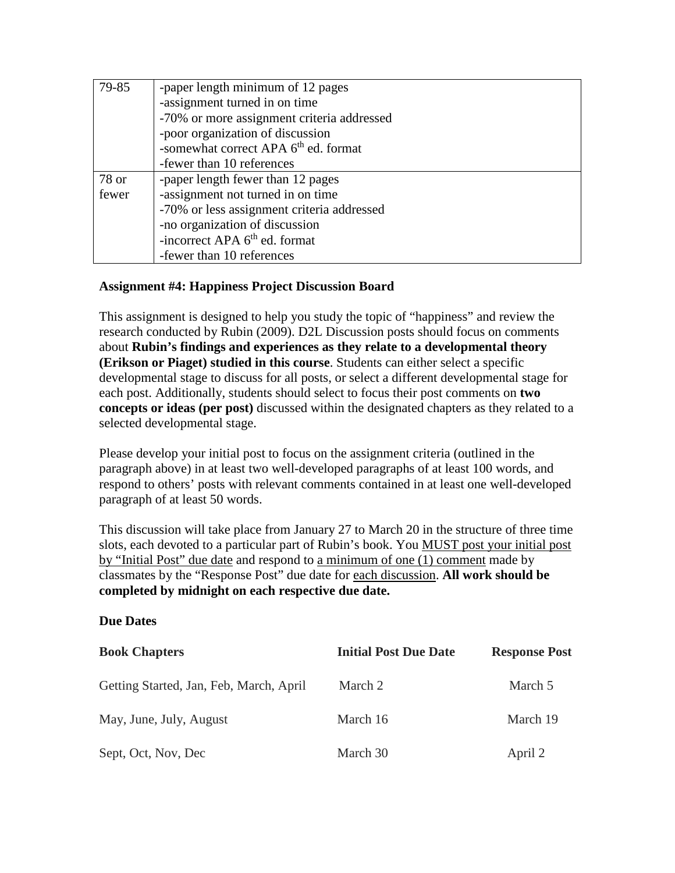| 79-85 | -paper length minimum of 12 pages                |
|-------|--------------------------------------------------|
|       | -assignment turned in on time                    |
|       | -70% or more assignment criteria addressed       |
|       | -poor organization of discussion                 |
|       | -somewhat correct APA 6 <sup>th</sup> ed. format |
|       | -fewer than 10 references                        |
| 78 or | -paper length fewer than 12 pages                |
| fewer | -assignment not turned in on time                |
|       | -70% or less assignment criteria addressed       |
|       | -no organization of discussion                   |
|       | -incorrect APA 6 <sup>th</sup> ed. format        |
|       | -fewer than 10 references                        |

## **Assignment #4: Happiness Project Discussion Board**

This assignment is designed to help you study the topic of "happiness" and review the research conducted by Rubin (2009). D2L Discussion posts should focus on comments about **Rubin's findings and experiences as they relate to a developmental theory (Erikson or Piaget) studied in this course**. Students can either select a specific developmental stage to discuss for all posts, or select a different developmental stage for each post. Additionally, students should select to focus their post comments on **two concepts or ideas (per post)** discussed within the designated chapters as they related to a selected developmental stage.

Please develop your initial post to focus on the assignment criteria (outlined in the paragraph above) in at least two well-developed paragraphs of at least 100 words, and respond to others' posts with relevant comments contained in at least one well-developed paragraph of at least 50 words.

This discussion will take place from January 27 to March 20 in the structure of three time slots, each devoted to a particular part of Rubin's book. You MUST post your initial post by "Initial Post" due date and respond to a minimum of one (1) comment made by classmates by the "Response Post" due date for each discussion. **All work should be completed by midnight on each respective due date.**

#### **Due Dates**

| <b>Book Chapters</b>                    | <b>Initial Post Due Date</b> | <b>Response Post</b> |
|-----------------------------------------|------------------------------|----------------------|
| Getting Started, Jan, Feb, March, April | March 2                      | March 5              |
| May, June, July, August                 | March 16                     | March 19             |
| Sept, Oct, Nov, Dec                     | March 30                     | April 2              |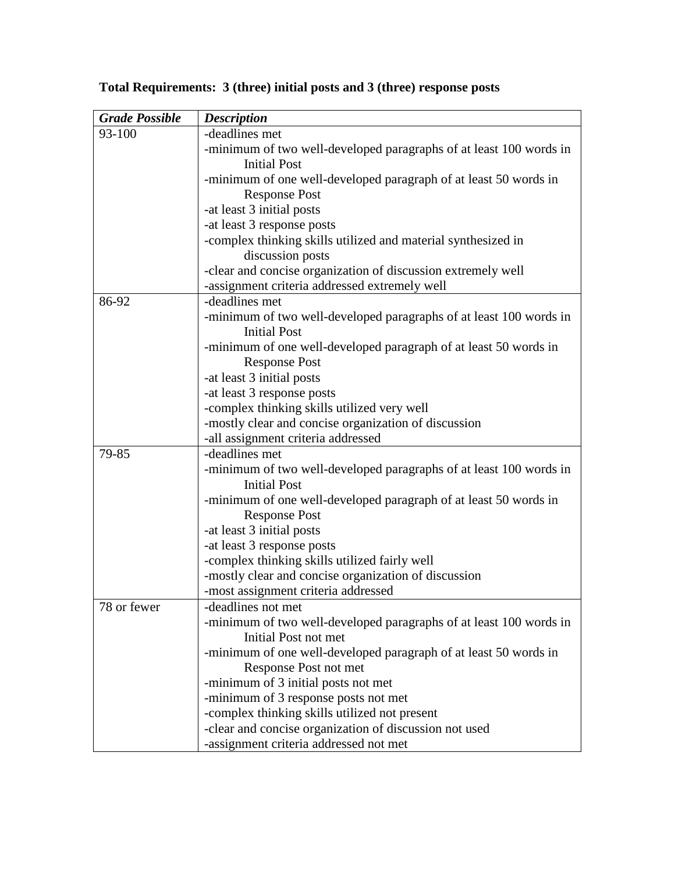| <b>Grade Possible</b> | <b>Description</b>                                                                       |
|-----------------------|------------------------------------------------------------------------------------------|
| 93-100                | -deadlines met                                                                           |
|                       | -minimum of two well-developed paragraphs of at least 100 words in                       |
|                       | <b>Initial Post</b>                                                                      |
|                       | -minimum of one well-developed paragraph of at least 50 words in                         |
|                       | <b>Response Post</b>                                                                     |
|                       | -at least 3 initial posts                                                                |
|                       | -at least 3 response posts                                                               |
|                       | -complex thinking skills utilized and material synthesized in                            |
|                       | discussion posts                                                                         |
|                       | -clear and concise organization of discussion extremely well                             |
|                       | -assignment criteria addressed extremely well                                            |
| 86-92                 | -deadlines met                                                                           |
|                       | -minimum of two well-developed paragraphs of at least 100 words in                       |
|                       | <b>Initial Post</b>                                                                      |
|                       | -minimum of one well-developed paragraph of at least 50 words in                         |
|                       | <b>Response Post</b>                                                                     |
|                       | -at least 3 initial posts                                                                |
|                       | -at least 3 response posts                                                               |
|                       | -complex thinking skills utilized very well                                              |
|                       | -mostly clear and concise organization of discussion                                     |
|                       | -all assignment criteria addressed                                                       |
| 79-85                 | -deadlines met                                                                           |
|                       | -minimum of two well-developed paragraphs of at least 100 words in                       |
|                       | <b>Initial Post</b>                                                                      |
|                       | -minimum of one well-developed paragraph of at least 50 words in<br><b>Response Post</b> |
|                       | -at least 3 initial posts                                                                |
|                       | -at least 3 response posts                                                               |
|                       | -complex thinking skills utilized fairly well                                            |
|                       | -mostly clear and concise organization of discussion                                     |
|                       | -most assignment criteria addressed                                                      |
| 78 or fewer           | -deadlines not met                                                                       |
|                       | -minimum of two well-developed paragraphs of at least 100 words in                       |
|                       | Initial Post not met                                                                     |
|                       | -minimum of one well-developed paragraph of at least 50 words in                         |
|                       | Response Post not met                                                                    |
|                       | -minimum of 3 initial posts not met                                                      |
|                       | -minimum of 3 response posts not met                                                     |
|                       | -complex thinking skills utilized not present                                            |
|                       | -clear and concise organization of discussion not used                                   |
|                       | -assignment criteria addressed not met                                                   |

# **Total Requirements: 3 (three) initial posts and 3 (three) response posts**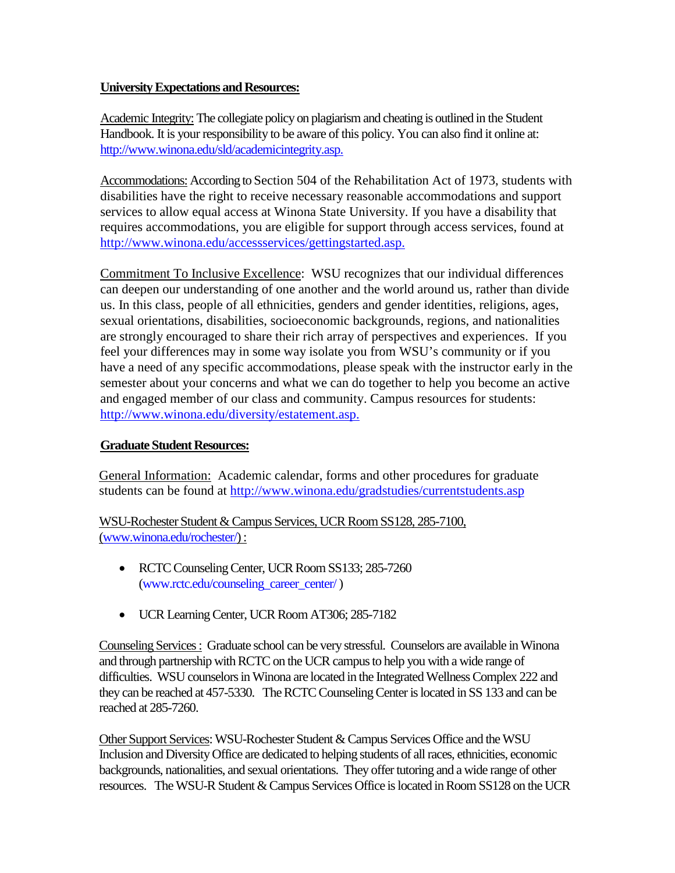## **University Expectations and Resources:**

Academic Integrity: The collegiate policy on plagiarism and cheating is outlined in the Student Handbook. It is your responsibility to be aware of this policy. You can also find it online at: [http://www.winona.edu/sld/academicintegrity.asp.](http://www.winona.edu/sld/academicintegrity.asp)

Accommodations: According to Section 504 of the Rehabilitation Act of 1973, students with disabilities have the right to receive necessary reasonable accommodations and support services to allow equal access at Winona State University. If you have a disability that requires accommodations, you are eligible for support through access services, found at [http://www.winona.edu/accessservices/gettingstarted.asp.](http://www.winona.edu/accessservices/gettingstarted.asp)

Commitment To Inclusive Excellence: WSU recognizes that our individual differences can deepen our understanding of one another and the world around us, rather than divide us. In this class, people of all ethnicities, genders and gender identities, religions, ages, sexual orientations, disabilities, socioeconomic backgrounds, regions, and nationalities are strongly encouraged to share their rich array of perspectives and experiences. If you feel your differences may in some way isolate you from WSU's community or if you have a need of any specific accommodations, please speak with the instructor early in the semester about your concerns and what we can do together to help you become an active and engaged member of our class and community. Campus resources for students: [http://www.winona.edu/diversity/estatement.asp.](http://www.winona.edu/diversity/estatement.asp)

## **Graduate Student Resources:**

General Information: Academic calendar, forms and other procedures for graduate students can be found at<http://www.winona.edu/gradstudies/currentstudents.asp>

WSU-Rochester Student & Campus Services, UCR Room SS128, 285-7100, [\(www.winona.edu/rochester/\)](http://www.winona.edu/rochester/) :

- RCTC Counseling Center, UCR Room SS133; 285-7260 [\(www.rctc.edu/counseling\\_career\\_center/](http://www.rctc.edu/counseling_career_center/))
- UCR Learning Center, UCR Room AT306; 285-7182

Counseling Services : Graduate school can be very stressful. Counselors are available in Winona and through partnership with RCTC on the UCR campus to help you with a wide range of difficulties. WSU counselors in Winona are located in the Integrated Wellness Complex 222 and they can be reached at 457-5330. The RCTC Counseling Center is located in SS 133 and can be reached at 285-7260.

Other Support Services: WSU-Rochester Student & Campus Services Office and the WSU Inclusion and Diversity Office are dedicated to helping students of all races, ethnicities, economic backgrounds, nationalities, and sexual orientations. They offer tutoring and a wide range of other resources. The WSU-R Student & Campus Services Office is located in Room SS128 on the UCR